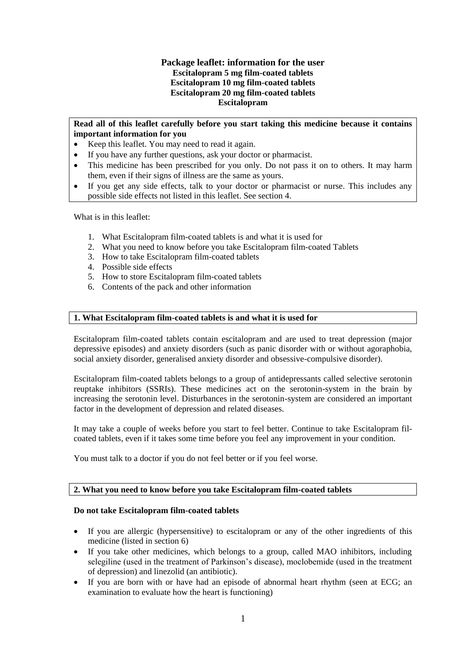## **Package leaflet: information for the user Escitalopram 5 mg film-coated tablets Escitalopram 10 mg film-coated tablets Escitalopram 20 mg film-coated tablets Escitalopram**

## **Read all of this leaflet carefully before you start taking this medicine because it contains important information for you**

- Keep this leaflet. You may need to read it again.
- If you have any further questions, ask your doctor or pharmacist.
- This medicine has been prescribed for you only. Do not pass it on to others. It may harm them, even if their signs of illness are the same as yours.
- If you get any side effects, talk to your doctor or pharmacist or nurse. This includes any possible side effects not listed in this leaflet. See section 4.

What is in this leaflet:

- 1. What Escitalopram film-coated tablets is and what it is used for
- 2. What you need to know before you take Escitalopram film-coated Tablets
- 3. How to take Escitalopram film-coated tablets
- 4. Possible side effects
- 5. How to store Escitalopram film-coated tablets
- 6. Contents of the pack and other information

## **1. What Escitalopram film-coated tablets is and what it is used for**

Escitalopram film-coated tablets contain escitalopram and are used to treat depression (major depressive episodes) and anxiety disorders (such as panic disorder with or without agoraphobia, social anxiety disorder, generalised anxiety disorder and obsessive-compulsive disorder).

Escitalopram film-coated tablets belongs to a group of antidepressants called selective serotonin reuptake inhibitors (SSRIs). These medicines act on the serotonin-system in the brain by increasing the serotonin level. Disturbances in the serotonin-system are considered an important factor in the development of depression and related diseases.

It may take a couple of weeks before you start to feel better. Continue to take Escitalopram filcoated tablets, even if it takes some time before you feel any improvement in your condition.

You must talk to a doctor if you do not feel better or if you feel worse.

## **2. What you need to know before you take Escitalopram film-coated tablets**

#### **Do not take Escitalopram film-coated tablets**

- If you are allergic (hypersensitive) to escitalopram or any of the other ingredients of this medicine (listed in section 6)
- If you take other medicines, which belongs to a group, called MAO inhibitors, including selegiline (used in the treatment of Parkinson's disease), moclobemide (used in the treatment of depression) and linezolid (an antibiotic).
- If you are born with or have had an episode of abnormal heart rhythm (seen at ECG; an examination to evaluate how the heart is functioning)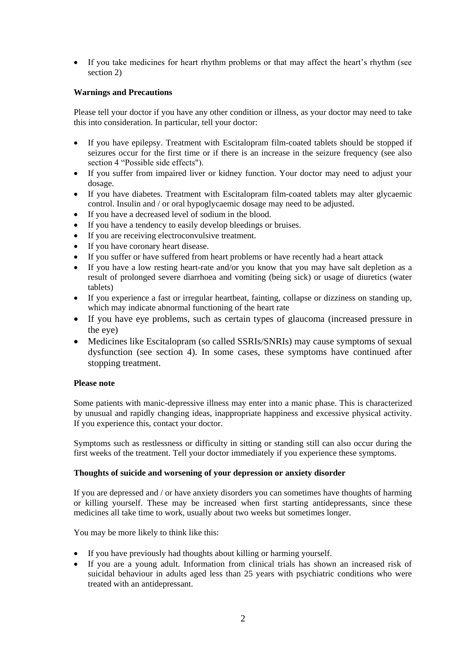If you take medicines for heart rhythm problems or that may affect the heart's rhythm (see section 2)

## **Warnings and Precautions**

Please tell your doctor if you have any other condition or illness, as your doctor may need to take this into consideration. In particular, tell your doctor:

- If you have epilepsy. Treatment with Escitalopram film-coated tablets should be stopped if seizures occur for the first time or if there is an increase in the seizure frequency (see also section 4 "Possible side effects").
- If you suffer from impaired liver or kidney function. Your doctor may need to adjust your dosage.
- If you have diabetes. Treatment with Escitalopram film-coated tablets may alter glycaemic control. Insulin and / or oral hypoglycaemic dosage may need to be adjusted.
- If you have a decreased level of sodium in the blood.
- If you have a tendency to easily develop bleedings or bruises.
- If you are receiving electroconvulsive treatment.
- If you have coronary heart disease.
- If you suffer or have suffered from heart problems or have recently had a heart attack
- If you have a low resting heart-rate and/or you know that you may have salt depletion as a result of prolonged severe diarrhoea and vomiting (being sick) or usage of diuretics (water tablets)
- If you experience a fast or irregular heartbeat, fainting, collapse or dizziness on standing up, which may indicate abnormal functioning of the heart rate
- If you have eye problems, such as certain types of glaucoma (increased pressure in the eye)
- Medicines like Escitalopram (so called SSRIs/SNRIs) may cause symptoms of sexual dysfunction (see section 4). In some cases, these symptoms have continued after stopping treatment.

## **Please note**

Some patients with manic-depressive illness may enter into a manic phase. This is characterized by unusual and rapidly changing ideas, inappropriate happiness and excessive physical activity. If you experience this, contact your doctor.

Symptoms such as restlessness or difficulty in sitting or standing still can also occur during the first weeks of the treatment. Tell your doctor immediately if you experience these symptoms.

## **Thoughts of suicide and worsening of your depression or anxiety disorder**

If you are depressed and / or have anxiety disorders you can sometimes have thoughts of harming or killing yourself. These may be increased when first starting antidepressants, since these medicines all take time to work, usually about two weeks but sometimes longer.

You may be more likely to think like this:

- If you have previously had thoughts about killing or harming yourself.
- If you are a young adult. Information from clinical trials has shown an increased risk of suicidal behaviour in adults aged less than 25 years with psychiatric conditions who were treated with an antidepressant.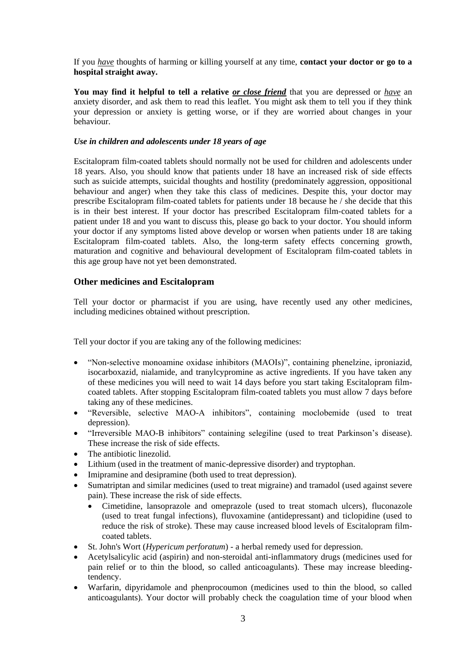If you *have* thoughts of harming or killing yourself at any time, **contact your doctor or go to a hospital straight away.**

**You may find it helpful to tell a relative** *or close friend* that you are depressed or *have* an anxiety disorder, and ask them to read this leaflet. You might ask them to tell you if they think your depression or anxiety is getting worse, or if they are worried about changes in your behaviour.

## *Use in children and adolescents under 18 years of age*

Escitalopram film-coated tablets should normally not be used for children and adolescents under 18 years. Also, you should know that patients under 18 have an increased risk of side effects such as suicide attempts, suicidal thoughts and hostility (predominately aggression, oppositional behaviour and anger) when they take this class of medicines. Despite this, your doctor may prescribe Escitalopram film-coated tablets for patients under 18 because he / she decide that this is in their best interest. If your doctor has prescribed Escitalopram film-coated tablets for a patient under 18 and you want to discuss this, please go back to your doctor. You should inform your doctor if any symptoms listed above develop or worsen when patients under 18 are taking Escitalopram film-coated tablets. Also, the long-term safety effects concerning growth, maturation and cognitive and behavioural development of Escitalopram film-coated tablets in this age group have not yet been demonstrated.

## **Other medicines and Escitalopram**

Tell your doctor or pharmacist if you are using, have recently used any other medicines, including medicines obtained without prescription.

Tell your doctor if you are taking any of the following medicines:

- "Non-selective monoamine oxidase inhibitors (MAOIs)", containing phenelzine, iproniazid, isocarboxazid, nialamide, and tranylcypromine as active ingredients. If you have taken any of these medicines you will need to wait 14 days before you start taking Escitalopram filmcoated tablets. After stopping Escitalopram film-coated tablets you must allow 7 days before taking any of these medicines.
- "Reversible, selective MAO-A inhibitors", containing moclobemide (used to treat depression).
- "Irreversible MAO-B inhibitors" containing selegiline (used to treat Parkinson's disease). These increase the risk of side effects.
- The antibiotic linezolid.
- Lithium (used in the treatment of manic-depressive disorder) and tryptophan.
- Imipramine and desipramine (both used to treat depression).
- Sumatriptan and similar medicines (used to treat migraine) and tramadol (used against severe pain). These increase the risk of side effects.
	- Cimetidine, lansoprazole and omeprazole (used to treat stomach ulcers), fluconazole (used to treat fungal infections), fluvoxamine (antidepressant) and ticlopidine (used to reduce the risk of stroke). These may cause increased blood levels of Escitalopram filmcoated tablets.
- St. John's Wort (*Hypericum perforatum*) a herbal remedy used for depression.
- Acetylsalicylic acid (aspirin) and non-steroidal anti-inflammatory drugs (medicines used for pain relief or to thin the blood, so called anticoagulants). These may increase bleedingtendency.
- Warfarin, dipyridamole and phenprocoumon (medicines used to thin the blood, so called anticoagulants). Your doctor will probably check the coagulation time of your blood when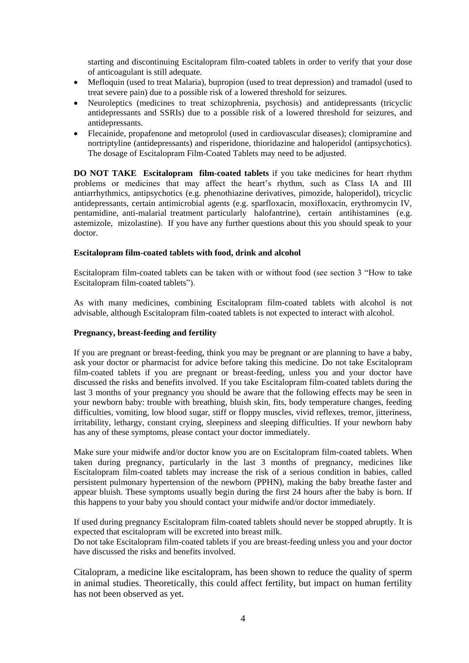starting and discontinuing Escitalopram film-coated tablets in order to verify that your dose of anticoagulant is still adequate.

- Mefloquin (used to treat Malaria), bupropion (used to treat depression) and tramadol (used to treat severe pain) due to a possible risk of a lowered threshold for seizures.
- Neuroleptics (medicines to treat schizophrenia, psychosis) and antidepressants (tricyclic antidepressants and SSRIs) due to a possible risk of a lowered threshold for seizures, and antidepressants.
- Flecainide, propafenone and metoprolol (used in cardiovascular diseases); clomipramine and nortriptyline (antidepressants) and risperidone, thioridazine and haloperidol (antipsychotics). The dosage of Escitalopram Film-Coated Tablets may need to be adjusted.

**DO NOT TAKE Escitalopram film-coated tablets** if you take medicines for heart rhythm problems or medicines that may affect the heart's rhythm, such as Class IA and III antiarrhythmics, antipsychotics (e.g. phenothiazine derivatives, pimozide, haloperidol), tricyclic antidepressants, certain antimicrobial agents (e.g. sparfloxacin, moxifloxacin, erythromycin IV, pentamidine, anti-malarial treatment particularly halofantrine), certain antihistamines (e.g. astemizole, mizolastine). If you have any further questions about this you should speak to your doctor.

#### **Escitalopram film-coated tablets with food, drink and alcohol**

Escitalopram film-coated tablets can be taken with or without food (see section 3 "How to take Escitalopram film-coated tablets").

As with many medicines, combining Escitalopram film-coated tablets with alcohol is not advisable, although Escitalopram film-coated tablets is not expected to interact with alcohol.

#### **Pregnancy, breast-feeding and fertility**

If you are pregnant or breast-feeding, think you may be pregnant or are planning to have a baby, ask your doctor or pharmacist for advice before taking this medicine. Do not take Escitalopram film-coated tablets if you are pregnant or breast-feeding, unless you and your doctor have discussed the risks and benefits involved. If you take Escitalopram film-coated tablets during the last 3 months of your pregnancy you should be aware that the following effects may be seen in your newborn baby: trouble with breathing, bluish skin, fits, body temperature changes, feeding difficulties, vomiting, low blood sugar, stiff or floppy muscles, vivid reflexes, tremor, jitteriness, irritability, lethargy, constant crying, sleepiness and sleeping difficulties. If your newborn baby has any of these symptoms, please contact your doctor immediately.

Make sure your midwife and/or doctor know you are on Escitalopram film-coated tablets. When taken during pregnancy, particularly in the last 3 months of pregnancy, medicines like Escitalopram film-coated tablets may increase the risk of a serious condition in babies, called persistent pulmonary hypertension of the newborn (PPHN), making the baby breathe faster and appear bluish. These symptoms usually begin during the first 24 hours after the baby is born. If this happens to your baby you should contact your midwife and/or doctor immediately.

If used during pregnancy Escitalopram film-coated tablets should never be stopped abruptly. It is expected that escitalopram will be excreted into breast milk.

Do not take Escitalopram film-coated tablets if you are breast-feeding unless you and your doctor have discussed the risks and benefits involved.

Citalopram, a medicine like escitalopram, has been shown to reduce the quality of sperm in animal studies. Theoretically, this could affect fertility, but impact on human fertility has not been observed as yet.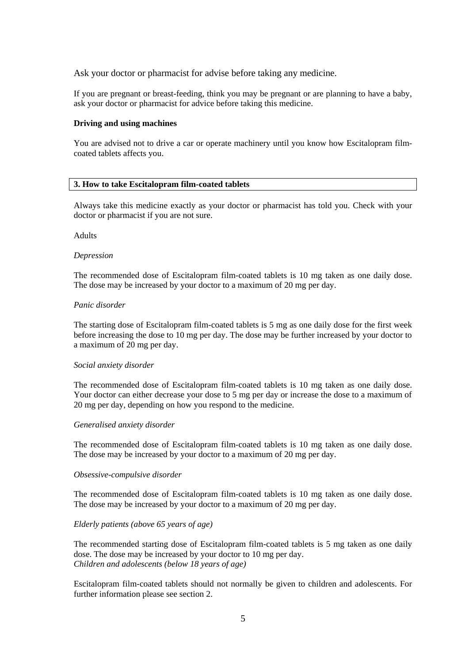Ask your doctor or pharmacist for advise before taking any medicine.

If you are pregnant or breast-feeding, think you may be pregnant or are planning to have a baby, ask your doctor or pharmacist for advice before taking this medicine.

#### **Driving and using machines**

You are advised not to drive a car or operate machinery until you know how Escitalopram filmcoated tablets affects you.

#### **3. How to take Escitalopram film-coated tablets**

Always take this medicine exactly as your doctor or pharmacist has told you. Check with your doctor or pharmacist if you are not sure.

#### Adults

#### *Depression*

The recommended dose of Escitalopram film-coated tablets is 10 mg taken as one daily dose. The dose may be increased by your doctor to a maximum of 20 mg per day.

#### *Panic disorder*

The starting dose of Escitalopram film-coated tablets is 5 mg as one daily dose for the first week before increasing the dose to 10 mg per day. The dose may be further increased by your doctor to a maximum of 20 mg per day.

#### *Social anxiety disorder*

The recommended dose of Escitalopram film-coated tablets is 10 mg taken as one daily dose. Your doctor can either decrease your dose to 5 mg per day or increase the dose to a maximum of 20 mg per day, depending on how you respond to the medicine.

#### *Generalised anxiety disorder*

The recommended dose of Escitalopram film-coated tablets is 10 mg taken as one daily dose. The dose may be increased by your doctor to a maximum of 20 mg per day.

#### *Obsessive-compulsive disorder*

The recommended dose of Escitalopram film-coated tablets is 10 mg taken as one daily dose. The dose may be increased by your doctor to a maximum of 20 mg per day.

#### *Elderly patients (above 65 years of age)*

The recommended starting dose of Escitalopram film-coated tablets is 5 mg taken as one daily dose. The dose may be increased by your doctor to 10 mg per day. *Children and adolescents (below 18 years of age)*

Escitalopram film-coated tablets should not normally be given to children and adolescents. For further information please see section 2.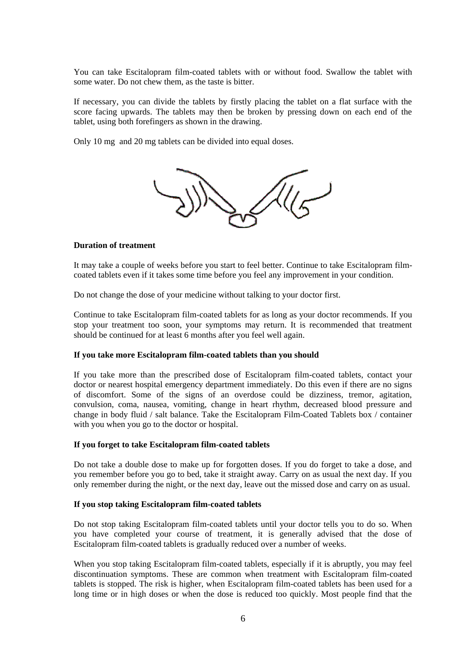You can take Escitalopram film-coated tablets with or without food. Swallow the tablet with some water. Do not chew them, as the taste is bitter.

If necessary, you can divide the tablets by firstly placing the tablet on a flat surface with the score facing upwards. The tablets may then be broken by pressing down on each end of the tablet, using both forefingers as shown in the drawing.

Only 10 mg and 20 mg tablets can be divided into equal doses.



#### **Duration of treatment**

It may take a couple of weeks before you start to feel better. Continue to take Escitalopram filmcoated tablets even if it takes some time before you feel any improvement in your condition.

Do not change the dose of your medicine without talking to your doctor first.

Continue to take Escitalopram film-coated tablets for as long as your doctor recommends. If you stop your treatment too soon, your symptoms may return. It is recommended that treatment should be continued for at least 6 months after you feel well again.

#### **If you take more Escitalopram film-coated tablets than you should**

If you take more than the prescribed dose of Escitalopram film-coated tablets, contact your doctor or nearest hospital emergency department immediately. Do this even if there are no signs of discomfort. Some of the signs of an overdose could be dizziness, tremor, agitation, convulsion, coma, nausea, vomiting, change in heart rhythm, decreased blood pressure and change in body fluid / salt balance. Take the Escitalopram Film-Coated Tablets box / container with you when you go to the doctor or hospital.

### **If you forget to take Escitalopram film-coated tablets**

Do not take a double dose to make up for forgotten doses. If you do forget to take a dose, and you remember before you go to bed, take it straight away. Carry on as usual the next day. If you only remember during the night, or the next day, leave out the missed dose and carry on as usual.

#### **If you stop taking Escitalopram film-coated tablets**

Do not stop taking Escitalopram film-coated tablets until your doctor tells you to do so. When you have completed your course of treatment, it is generally advised that the dose of Escitalopram film-coated tablets is gradually reduced over a number of weeks.

When you stop taking Escitalopram film-coated tablets, especially if it is abruptly, you may feel discontinuation symptoms. These are common when treatment with Escitalopram film-coated tablets is stopped. The risk is higher, when Escitalopram film-coated tablets has been used for a long time or in high doses or when the dose is reduced too quickly. Most people find that the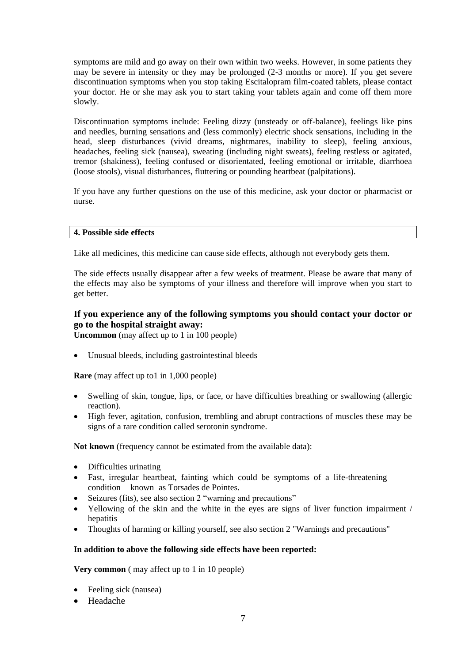symptoms are mild and go away on their own within two weeks. However, in some patients they may be severe in intensity or they may be prolonged (2-3 months or more). If you get severe discontinuation symptoms when you stop taking Escitalopram film-coated tablets, please contact your doctor. He or she may ask you to start taking your tablets again and come off them more slowly.

Discontinuation symptoms include: Feeling dizzy (unsteady or off-balance), feelings like pins and needles, burning sensations and (less commonly) electric shock sensations, including in the head, sleep disturbances (vivid dreams, nightmares, inability to sleep), feeling anxious, headaches, feeling sick (nausea), sweating (including night sweats), feeling restless or agitated, tremor (shakiness), feeling confused or disorientated, feeling emotional or irritable, diarrhoea (loose stools), visual disturbances, fluttering or pounding heartbeat (palpitations).

If you have any further questions on the use of this medicine, ask your doctor or pharmacist or nurse.

## **4. Possible side effects**

Like all medicines, this medicine can cause side effects, although not everybody gets them.

The side effects usually disappear after a few weeks of treatment. Please be aware that many of the effects may also be symptoms of your illness and therefore will improve when you start to get better.

# **If you experience any of the following symptoms you should contact your doctor or go to the hospital straight away:**

**Uncommon** (may affect up to 1 in 100 people)

Unusual bleeds, including gastrointestinal bleeds

**Rare** (may affect up to1 in 1,000 people)

- Swelling of skin, tongue, lips, or face, or have difficulties breathing or swallowing (allergic reaction).
- High fever, agitation, confusion, trembling and abrupt contractions of muscles these may be signs of a rare condition called serotonin syndrome.

**Not known** (frequency cannot be estimated from the available data):

- Difficulties urinating
- Fast, irregular heartbeat, fainting which could be symptoms of a life-threatening condition known as Torsades de Pointes.
- Seizures (fits), see also section 2 "warning and precautions"
- Yellowing of the skin and the white in the eyes are signs of liver function impairment / hepatitis
- Thoughts of harming or killing yourself, see also section 2 "Warnings and precautions"

#### **In addition to above the following side effects have been reported:**

**Very common** (may affect up to 1 in 10 people)

- Feeling sick (nausea)
- Headache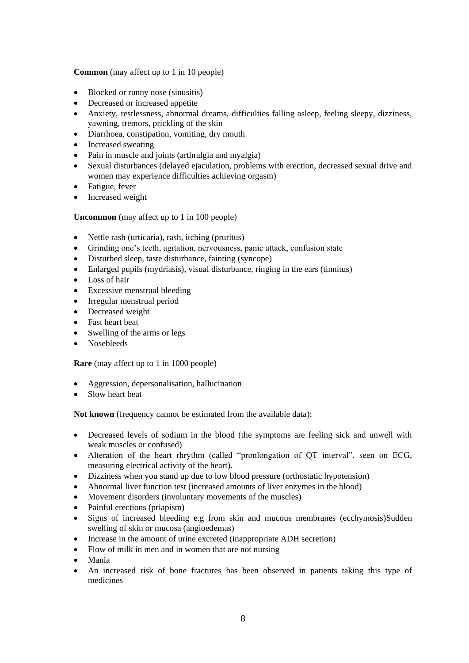**Common** (may affect up to 1 in 10 people)

- Blocked or runny nose (sinusitis)
- Decreased or increased appetite
- Anxiety, restlessness, abnormal dreams, difficulties falling asleep, feeling sleepy, dizziness, yawning, tremors, prickling of the skin
- Diarrhoea, constipation, vomiting, dry mouth
- Increased sweating
- Pain in muscle and joints (arthralgia and myalgia)
- Sexual disturbances (delayed ejaculation, problems with erection, decreased sexual drive and women may experience difficulties achieving orgasm)
- Fatigue, fever
- Increased weight

**Uncommon** (may affect up to 1 in 100 people)

- Nettle rash (urticaria), rash, itching (pruritus)
- Grinding one's teeth, agitation, nervousness, panic attack, confusion state
- Disturbed sleep, taste disturbance, fainting (syncope)
- Enlarged pupils (mydriasis), visual disturbance, ringing in the ears (tinnitus)
- Loss of hair
- Excessive menstrual bleeding
- Irregular menstrual period
- Decreased weight
- Fast heart beat
- Swelling of the arms or legs
- Nosebleeds

**Rare** (may affect up to 1 in 1000 people)

- Aggression, depersonalisation, hallucination
- Slow heart beat

**Not known** (frequency cannot be estimated from the available data):

- Decreased levels of sodium in the blood (the symptoms are feeling sick and unwell with weak muscles or confused)
- Alteration of the heart rhrythm (called "pronlongation of QT interval", seen on ECG, measuring electrical activity of the heart).
- Dizziness when you stand up due to low blood pressure (orthostatic hypotension)
- Abnormal liver function test (increased amounts of liver enzymes in the blood)
- Movement disorders (involuntary movements of the muscles)
- Painful erections (priapism)
- Signs of increased bleeding e.g from skin and mucous membranes (ecchymosis)Sudden swelling of skin or mucosa (angioedemas)
- Increase in the amount of urine excreted (inappropriate ADH secretion)
- Flow of milk in men and in women that are not nursing
- Mania
- An increased risk of bone fractures has been observed in patients taking this type of medicines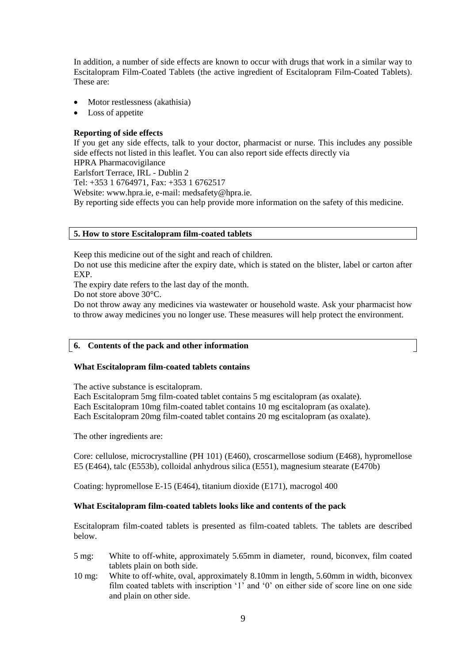In addition, a number of side effects are known to occur with drugs that work in a similar way to Escitalopram Film-Coated Tablets (the active ingredient of Escitalopram Film-Coated Tablets). These are:

- Motor restlessness (akathisia)
- Loss of appetite

# **Reporting of side effects**

If you get any side effects, talk to your doctor, pharmacist or nurse. This includes any possible side effects not listed in this leaflet. You can also report side effects directly via HPRA Pharmacovigilance Earlsfort Terrace, IRL - Dublin 2 Tel: +353 1 6764971, Fax: +353 1 6762517

Website: www.hpra.ie, e-mail: medsafety@hpra.ie.

By reporting side effects you can help provide more information on the safety of this medicine.

## **5. How to store Escitalopram film-coated tablets**

Keep this medicine out of the sight and reach of children.

Do not use this medicine after the expiry date, which is stated on the blister, label or carton after EXP.

The expiry date refers to the last day of the month.

Do not store above 30°C.

Do not throw away any medicines via wastewater or household waste. Ask your pharmacist how to throw away medicines you no longer use. These measures will help protect the environment.

## **6. Contents of the pack and other information**

## **What Escitalopram film-coated tablets contains**

The active substance is escitalopram.

Each Escitalopram 5mg film-coated tablet contains 5 mg escitalopram (as oxalate). Each Escitalopram 10mg film-coated tablet contains 10 mg escitalopram (as oxalate). Each Escitalopram 20mg film-coated tablet contains 20 mg escitalopram (as oxalate).

The other ingredients are:

Core: cellulose, microcrystalline (PH 101) (E460), croscarmellose sodium (E468), hypromellose E5 (E464), talc (E553b), colloidal anhydrous silica (E551), magnesium stearate (E470b)

Coating: hypromellose E-15 (E464), titanium dioxide (E171), macrogol 400

## **What Escitalopram film-coated tablets looks like and contents of the pack**

Escitalopram film-coated tablets is presented as film-coated tablets. The tablets are described below.

- 5 mg: White to off-white, approximately 5.65mm in diameter, round, biconvex, film coated tablets plain on both side.
- 10 mg: White to off-white, oval, approximately 8.10mm in length, 5.60mm in width, biconvex film coated tablets with inscription '1' and '0' on either side of score line on one side and plain on other side.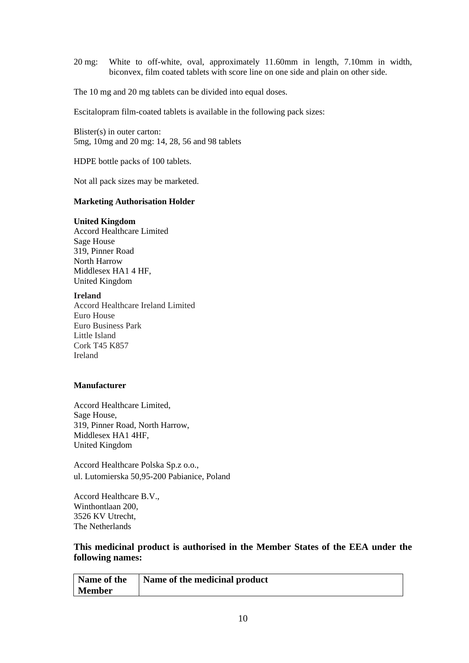20 mg: White to off-white, oval, approximately 11.60mm in length, 7.10mm in width, biconvex, film coated tablets with score line on one side and plain on other side.

The 10 mg and 20 mg tablets can be divided into equal doses.

Escitalopram film-coated tablets is available in the following pack sizes:

Blister(s) in outer carton: 5mg, 10mg and 20 mg: 14, 28, 56 and 98 tablets

HDPE bottle packs of 100 tablets.

Not all pack sizes may be marketed.

#### **Marketing Authorisation Holder**

#### **United Kingdom**

Accord Healthcare Limited Sage House 319, Pinner Road North Harrow Middlesex HA1 4 HF, United Kingdom

#### **Ireland**

Accord Healthcare Ireland Limited Euro House Euro Business Park Little Island Cork T45 K857 Ireland

## **Manufacturer**

Accord Healthcare Limited, Sage House, 319, Pinner Road, North Harrow, Middlesex HA1 4HF, United Kingdom

Accord Healthcare Polska Sp.z o.o., ul. Lutomierska 50,95-200 Pabianice, Poland

Accord Healthcare B.V., Winthontlaan 200, 3526 KV Utrecht, The Netherlands

# **This medicinal product is authorised in the Member States of the EEA under the following names:**

| Name of the   | Name of the medicinal product |
|---------------|-------------------------------|
| <b>Member</b> |                               |